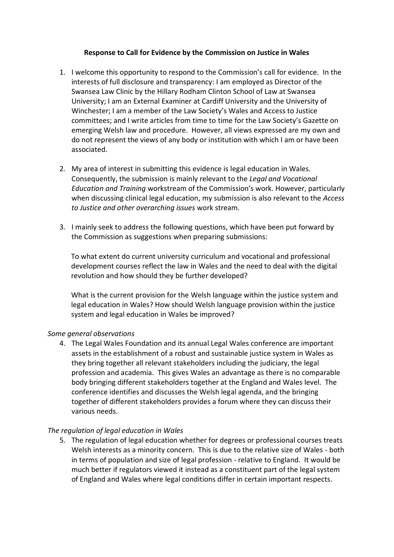## **Response to Call for Evidence by the Commission on Justice in Wales**

- 1. I welcome this opportunity to respond to the Commission's call for evidence. In the interests of full disclosure and transparency: I am employed as Director of the Swansea Law Clinic by the Hillary Rodham Clinton School of Law at Swansea University; I am an External Examiner at Cardiff University and the University of Winchester; I am a member of the Law Society's Wales and Access to Justice committees; and I write articles from time to time for the Law Society's Gazette on emerging Welsh law and procedure. However, all views expressed are my own and do not represent the views of any body or institution with which I am or have been associated.
- 2. My area of interest in submitting this evidence is legal education in Wales. Consequently, the submission is mainly relevant to the *Legal and Vocational Education and Training* workstream of the Commission's work. However, particularly when discussing clinical legal education, my submission is also relevant to the *Access to Justice and other overarching issues* work stream.
- 3. I mainly seek to address the following questions, which have been put forward by the Commission as suggestions when preparing submissions:

To what extent do current university curriculum and vocational and professional development courses reflect the law in Wales and the need to deal with the digital revolution and how should they be further developed?

What is the current provision for the Welsh language within the justice system and legal education in Wales? How should Welsh language provision within the justice system and legal education in Wales be improved?

### *Some general observations*

4. The Legal Wales Foundation and its annual Legal Wales conference are important assets in the establishment of a robust and sustainable justice system in Wales as they bring together all relevant stakeholders including the judiciary, the legal profession and academia. This gives Wales an advantage as there is no comparable body bringing different stakeholders together at the England and Wales level. The conference identifies and discusses the Welsh legal agenda, and the bringing together of different stakeholders provides a forum where they can discuss their various needs.

### *The regulation of legal education in Wales*

5. The regulation of legal education whether for degrees or professional courses treats Welsh interests as a minority concern. This is due to the relative size of Wales - both in terms of population and size of legal profession - relative to England. It would be much better if regulators viewed it instead as a constituent part of the legal system of England and Wales where legal conditions differ in certain important respects.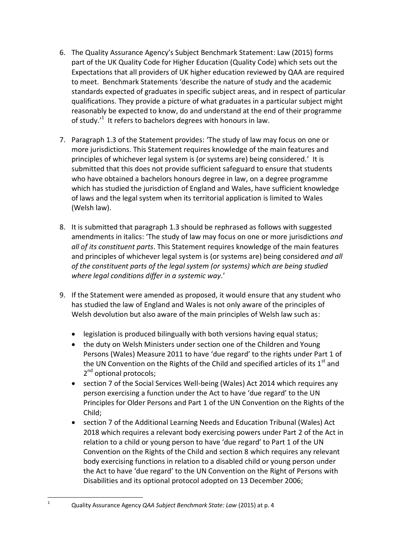- 6. The Quality Assurance Agency's Subject Benchmark Statement: Law (2015) forms part of the UK Quality Code for Higher Education (Quality Code) which sets out the Expectations that all providers of UK higher education reviewed by QAA are required to meet. Benchmark Statements 'describe the nature of study and the academic standards expected of graduates in specific subject areas, and in respect of particular qualifications. They provide a picture of what graduates in a particular subject might reasonably be expected to know, do and understand at the end of their programme of study.'<sup>1</sup> It refers to bachelors degrees with honours in law.
- 7. Paragraph 1.3 of the Statement provides: 'The study of law may focus on one or more jurisdictions. This Statement requires knowledge of the main features and principles of whichever legal system is (or systems are) being considered.' It is submitted that this does not provide sufficient safeguard to ensure that students who have obtained a bachelors honours degree in law, on a degree programme which has studied the jurisdiction of England and Wales, have sufficient knowledge of laws and the legal system when its territorial application is limited to Wales (Welsh law).
- 8. It is submitted that paragraph 1.3 should be rephrased as follows with suggested amendments in italics: 'The study of law may focus on one or more jurisdictions *and all of its constituent parts*. This Statement requires knowledge of the main features and principles of whichever legal system is (or systems are) being considered *and all of the constituent parts of the legal system (or systems) which are being studied where legal conditions differ in a systemic way*.'
- 9. If the Statement were amended as proposed, it would ensure that any student who has studied the law of England and Wales is not only aware of the principles of Welsh devolution but also aware of the main principles of Welsh law such as:
	- legislation is produced bilingually with both versions having equal status;
	- the duty on Welsh Ministers under section one of the Children and Young Persons (Wales) Measure 2011 to have 'due regard' to the rights under Part 1 of the UN Convention on the Rights of the Child and specified articles of its  $1<sup>st</sup>$  and 2<sup>nd</sup> optional protocols;
	- section 7 of the Social Services Well-being (Wales) Act 2014 which requires any person exercising a function under the Act to have 'due regard' to the UN Principles for Older Persons and Part 1 of the UN Convention on the Rights of the Child;
	- section 7 of the Additional Learning Needs and Education Tribunal (Wales) Act 2018 which requires a relevant body exercising powers under Part 2 of the Act in relation to a child or young person to have 'due regard' to Part 1 of the UN Convention on the Rights of the Child and section 8 which requires any relevant body exercising functions in relation to a disabled child or young person under the Act to have 'due regard' to the UN Convention on the Right of Persons with Disabilities and its optional protocol adopted on 13 December 2006;

 $\mathbf 1$ 

<sup>1</sup> Quality Assurance Agency *QAA Subject Benchmark State: Law* (2015) at p. 4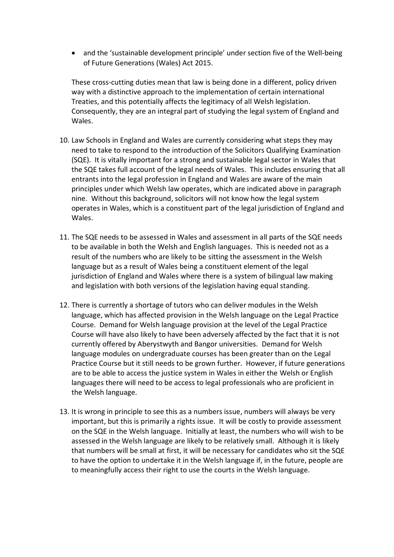• and the 'sustainable development principle' under section five of the Well-being of Future Generations (Wales) Act 2015.

These cross-cutting duties mean that law is being done in a different, policy driven way with a distinctive approach to the implementation of certain international Treaties, and this potentially affects the legitimacy of all Welsh legislation. Consequently, they are an integral part of studying the legal system of England and Wales.

- 10. Law Schools in England and Wales are currently considering what steps they may need to take to respond to the introduction of the Solicitors Qualifying Examination (SQE). It is vitally important for a strong and sustainable legal sector in Wales that the SQE takes full account of the legal needs of Wales. This includes ensuring that all entrants into the legal profession in England and Wales are aware of the main principles under which Welsh law operates, which are indicated above in paragraph nine. Without this background, solicitors will not know how the legal system operates in Wales, which is a constituent part of the legal jurisdiction of England and Wales.
- 11. The SQE needs to be assessed in Wales and assessment in all parts of the SQE needs to be available in both the Welsh and English languages. This is needed not as a result of the numbers who are likely to be sitting the assessment in the Welsh language but as a result of Wales being a constituent element of the legal jurisdiction of England and Wales where there is a system of bilingual law making and legislation with both versions of the legislation having equal standing.
- 12. There is currently a shortage of tutors who can deliver modules in the Welsh language, which has affected provision in the Welsh language on the Legal Practice Course. Demand for Welsh language provision at the level of the Legal Practice Course will have also likely to have been adversely affected by the fact that it is not currently offered by Aberystwyth and Bangor universities. Demand for Welsh language modules on undergraduate courses has been greater than on the Legal Practice Course but it still needs to be grown further. However, if future generations are to be able to access the justice system in Wales in either the Welsh or English languages there will need to be access to legal professionals who are proficient in the Welsh language.
- 13. It is wrong in principle to see this as a numbers issue, numbers will always be very important, but this is primarily a rights issue. It will be costly to provide assessment on the SQE in the Welsh language. Initially at least, the numbers who will wish to be assessed in the Welsh language are likely to be relatively small. Although it is likely that numbers will be small at first, it will be necessary for candidates who sit the SQE to have the option to undertake it in the Welsh language if, in the future, people are to meaningfully access their right to use the courts in the Welsh language.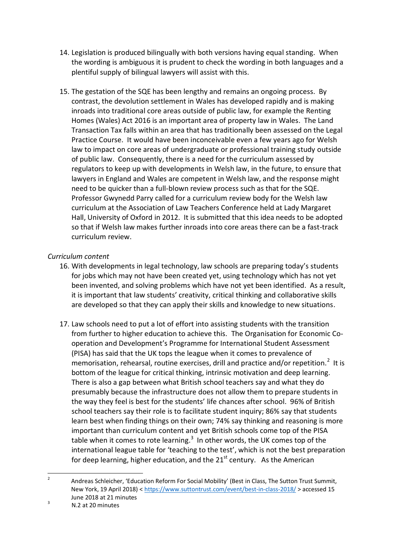- 14. Legislation is produced bilingually with both versions having equal standing. When the wording is ambiguous it is prudent to check the wording in both languages and a plentiful supply of bilingual lawyers will assist with this.
- 15. The gestation of the SQE has been lengthy and remains an ongoing process. By contrast, the devolution settlement in Wales has developed rapidly and is making inroads into traditional core areas outside of public law, for example the Renting Homes (Wales) Act 2016 is an important area of property law in Wales. The Land Transaction Tax falls within an area that has traditionally been assessed on the Legal Practice Course. It would have been inconceivable even a few years ago for Welsh law to impact on core areas of undergraduate or professional training study outside of public law. Consequently, there is a need for the curriculum assessed by regulators to keep up with developments in Welsh law, in the future, to ensure that lawyers in England and Wales are competent in Welsh law, and the response might need to be quicker than a full-blown review process such as that for the SQE. Professor Gwynedd Parry called for a curriculum review body for the Welsh law curriculum at the Association of Law Teachers Conference held at Lady Margaret Hall, University of Oxford in 2012. It is submitted that this idea needs to be adopted so that if Welsh law makes further inroads into core areas there can be a fast-track curriculum review.

# *Curriculum content*

- 16. With developments in legal technology, law schools are preparing today's students for jobs which may not have been created yet, using technology which has not yet been invented, and solving problems which have not yet been identified. As a result, it is important that law students' creativity, critical thinking and collaborative skills are developed so that they can apply their skills and knowledge to new situations.
- 17. Law schools need to put a lot of effort into assisting students with the transition from further to higher education to achieve this. The Organisation for Economic Cooperation and Development's Programme for International Student Assessment (PISA) has said that the UK tops the league when it comes to prevalence of memorisation, rehearsal, routine exercises, drill and practice and/or repetition.<sup>2</sup> It is bottom of the league for critical thinking, intrinsic motivation and deep learning. There is also a gap between what British school teachers say and what they do presumably because the infrastructure does not allow them to prepare students in the way they feel is best for the students' life chances after school. 96% of British school teachers say their role is to facilitate student inquiry; 86% say that students learn best when finding things on their own; 74% say thinking and reasoning is more important than curriculum content and yet British schools come top of the PISA table when it comes to rote learning.<sup>3</sup> In other words, the UK comes top of the international league table for 'teaching to the test', which is not the best preparation for deep learning, higher education, and the  $21<sup>st</sup>$  century. As the American

 $\frac{1}{2}$ Andreas Schleicher, 'Education Reform For Social Mobility' (Best in Class, The Sutton Trust Summit, New York, 19 April 2018) < <https://www.suttontrust.com/event/best-in-class-2018/> > accessed 15 June 2018 at 21 minutes

<sup>3</sup> N.2 at 20 minutes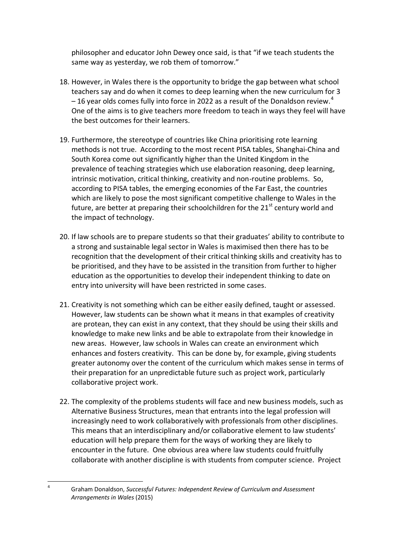philosopher and educator John Dewey once said, is that "if we teach students the same way as yesterday, we rob them of tomorrow."

- 18. However, in Wales there is the opportunity to bridge the gap between what school teachers say and do when it comes to deep learning when the new curriculum for 3  $-16$  year olds comes fully into force in 2022 as a result of the Donaldson review.<sup>4</sup> One of the aims is to give teachers more freedom to teach in ways they feel will have the best outcomes for their learners.
- 19. Furthermore, the stereotype of countries like China prioritising rote learning methods is not true. According to the most recent PISA tables, Shanghai-China and South Korea come out significantly higher than the United Kingdom in the prevalence of teaching strategies which use elaboration reasoning, deep learning, intrinsic motivation, critical thinking, creativity and non-routine problems. So, according to PISA tables, the emerging economies of the Far East, the countries which are likely to pose the most significant competitive challenge to Wales in the future, are better at preparing their schoolchildren for the  $21<sup>st</sup>$  century world and the impact of technology.
- 20. If law schools are to prepare students so that their graduates' ability to contribute to a strong and sustainable legal sector in Wales is maximised then there has to be recognition that the development of their critical thinking skills and creativity has to be prioritised, and they have to be assisted in the transition from further to higher education as the opportunities to develop their independent thinking to date on entry into university will have been restricted in some cases.
- 21. Creativity is not something which can be either easily defined, taught or assessed. However, law students can be shown what it means in that examples of creativity are protean, they can exist in any context, that they should be using their skills and knowledge to make new links and be able to extrapolate from their knowledge in new areas. However, law schools in Wales can create an environment which enhances and fosters creativity. This can be done by, for example, giving students greater autonomy over the content of the curriculum which makes sense in terms of their preparation for an unpredictable future such as project work, particularly collaborative project work.
- 22. The complexity of the problems students will face and new business models, such as Alternative Business Structures, mean that entrants into the legal profession will increasingly need to work collaboratively with professionals from other disciplines. This means that an interdisciplinary and/or collaborative element to law students' education will help prepare them for the ways of working they are likely to encounter in the future. One obvious area where law students could fruitfully collaborate with another discipline is with students from computer science. Project

 $\overline{a}$ 4

Graham Donaldson, *Successful Futures: Independent Review of Curriculum and Assessment Arrangements in Wales* (2015)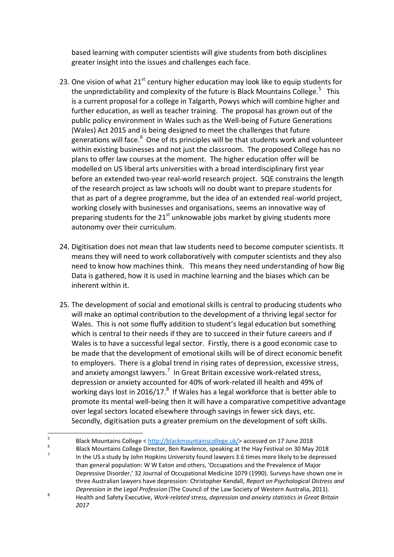based learning with computer scientists will give students from both disciplines greater insight into the issues and challenges each face.

- 23. One vision of what  $21<sup>st</sup>$  century higher education may look like to equip students for the unpredictability and complexity of the future is Black Mountains College.<sup>5</sup> This is a current proposal for a college in Talgarth, Powys which will combine higher and further education, as well as teacher training. The proposal has grown out of the public policy environment in Wales such as the Well-being of Future Generations (Wales) Act 2015 and is being designed to meet the challenges that future generations will face.<sup>6</sup> One of its principles will be that students work and volunteer within existing businesses and not just the classroom. The proposed College has no plans to offer law courses at the moment. The higher education offer will be modelled on US liberal arts universities with a broad interdisciplinary first year before an extended two-year real-world research project. SQE constrains the length of the research project as law schools will no doubt want to prepare students for that as part of a degree programme, but the idea of an extended real-world project, working closely with businesses and organisations, seems an innovative way of preparing students for the  $21<sup>st</sup>$  unknowable jobs market by giving students more autonomy over their curriculum.
- 24. Digitisation does not mean that law students need to become computer scientists. It means they will need to work collaboratively with computer scientists and they also need to know how machines think. This means they need understanding of how Big Data is gathered, how it is used in machine learning and the biases which can be inherent within it.
- 25. The development of social and emotional skills is central to producing students who will make an optimal contribution to the development of a thriving legal sector for Wales. This is not some fluffy addition to student's legal education but something which is central to their needs if they are to succeed in their future careers and if Wales is to have a successful legal sector. Firstly, there is a good economic case to be made that the development of emotional skills will be of direct economic benefit to employers. There is a global trend in rising rates of depression, excessive stress, and anxiety amongst lawyers.<sup>7</sup> In Great Britain excessive work-related stress, depression or anxiety accounted for 40% of work-related ill health and 49% of working days lost in 2016/17.<sup>8</sup> If Wales has a legal workforce that is better able to promote its mental well-being then it will have a comparative competitive advantage over legal sectors located elsewhere through savings in fewer sick days, etc. Secondly, digitisation puts a greater premium on the development of soft skills.

<sup>-&</sup>lt;br>5 Black Mountains College < [http://blackmountainscollege.uk/>](http://blackmountainscollege.uk/) accessed on 17 June 2018 6

Black Mountains College Director, Ben Rawlence, speaking at the Hay Festival on 30 May 2018 7 In the US a study by John Hopkins University found lawyers 3.6 times more likely to be depressed than general population: W W Eaton and others, 'Occupations and the Prevalence of Major Depressive Disorder,' 32 Journal of Occupational Medicine 1079 (1990). Surveys have shown one in three Australian lawyers have depression: Christopher Kendall, *Report on Psychological Distress and Depression in the Legal Profession* (The Council of the Law Society of Western Australia, 2011). 8 Health and Safety Executive, *Work-related stress, depression and anxiety statistics in Great Britain 2017*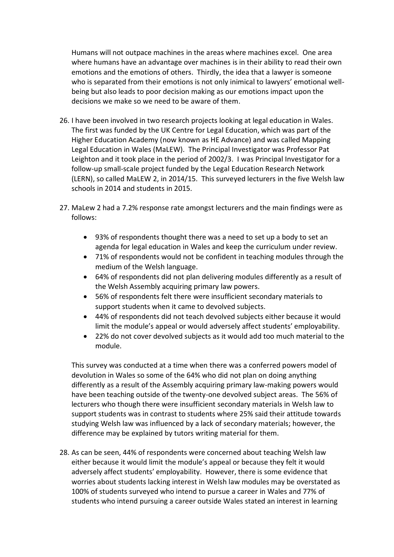Humans will not outpace machines in the areas where machines excel. One area where humans have an advantage over machines is in their ability to read their own emotions and the emotions of others. Thirdly, the idea that a lawyer is someone who is separated from their emotions is not only inimical to lawyers' emotional wellbeing but also leads to poor decision making as our emotions impact upon the decisions we make so we need to be aware of them.

- 26. I have been involved in two research projects looking at legal education in Wales. The first was funded by the UK Centre for Legal Education, which was part of the Higher Education Academy (now known as HE Advance) and was called Mapping Legal Education in Wales (MaLEW). The Principal Investigator was Professor Pat Leighton and it took place in the period of 2002/3. I was Principal Investigator for a follow-up small-scale project funded by the Legal Education Research Network (LERN), so called MaLEW 2, in 2014/15. This surveyed lecturers in the five Welsh law schools in 2014 and students in 2015.
- 27. MaLew 2 had a 7.2% response rate amongst lecturers and the main findings were as follows:
	- 93% of respondents thought there was a need to set up a body to set an agenda for legal education in Wales and keep the curriculum under review.
	- 71% of respondents would not be confident in teaching modules through the medium of the Welsh language.
	- 64% of respondents did not plan delivering modules differently as a result of the Welsh Assembly acquiring primary law powers.
	- 56% of respondents felt there were insufficient secondary materials to support students when it came to devolved subjects.
	- 44% of respondents did not teach devolved subjects either because it would limit the module's appeal or would adversely affect students' employability.
	- 22% do not cover devolved subjects as it would add too much material to the module.

This survey was conducted at a time when there was a conferred powers model of devolution in Wales so some of the 64% who did not plan on doing anything differently as a result of the Assembly acquiring primary law-making powers would have been teaching outside of the twenty-one devolved subject areas. The 56% of lecturers who though there were insufficient secondary materials in Welsh law to support students was in contrast to students where 25% said their attitude towards studying Welsh law was influenced by a lack of secondary materials; however, the difference may be explained by tutors writing material for them.

28. As can be seen, 44% of respondents were concerned about teaching Welsh law either because it would limit the module's appeal or because they felt it would adversely affect students' employability. However, there is some evidence that worries about students lacking interest in Welsh law modules may be overstated as 100% of students surveyed who intend to pursue a career in Wales and 77% of students who intend pursuing a career outside Wales stated an interest in learning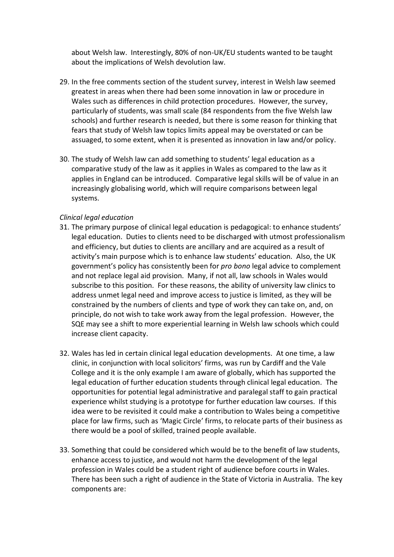about Welsh law. Interestingly, 80% of non-UK/EU students wanted to be taught about the implications of Welsh devolution law.

- 29. In the free comments section of the student survey, interest in Welsh law seemed greatest in areas when there had been some innovation in law or procedure in Wales such as differences in child protection procedures. However, the survey, particularly of students, was small scale (84 respondents from the five Welsh law schools) and further research is needed, but there is some reason for thinking that fears that study of Welsh law topics limits appeal may be overstated or can be assuaged, to some extent, when it is presented as innovation in law and/or policy.
- 30. The study of Welsh law can add something to students' legal education as a comparative study of the law as it applies in Wales as compared to the law as it applies in England can be introduced. Comparative legal skills will be of value in an increasingly globalising world, which will require comparisons between legal systems.

## *Clinical legal education*

- 31. The primary purpose of clinical legal education is pedagogical: to enhance students' legal education. Duties to clients need to be discharged with utmost professionalism and efficiency, but duties to clients are ancillary and are acquired as a result of activity's main purpose which is to enhance law students' education. Also, the UK government's policy has consistently been for *pro bono* legal advice to complement and not replace legal aid provision. Many, if not all, law schools in Wales would subscribe to this position. For these reasons, the ability of university law clinics to address unmet legal need and improve access to justice is limited, as they will be constrained by the numbers of clients and type of work they can take on, and, on principle, do not wish to take work away from the legal profession. However, the SQE may see a shift to more experiential learning in Welsh law schools which could increase client capacity.
- 32. Wales has led in certain clinical legal education developments. At one time, a law clinic, in conjunction with local solicitors' firms, was run by Cardiff and the Vale College and it is the only example I am aware of globally, which has supported the legal education of further education students through clinical legal education. The opportunities for potential legal administrative and paralegal staff to gain practical experience whilst studying is a prototype for further education law courses. If this idea were to be revisited it could make a contribution to Wales being a competitive place for law firms, such as 'Magic Circle' firms, to relocate parts of their business as there would be a pool of skilled, trained people available.
- 33. Something that could be considered which would be to the benefit of law students, enhance access to justice, and would not harm the development of the legal profession in Wales could be a student right of audience before courts in Wales. There has been such a right of audience in the State of Victoria in Australia. The key components are: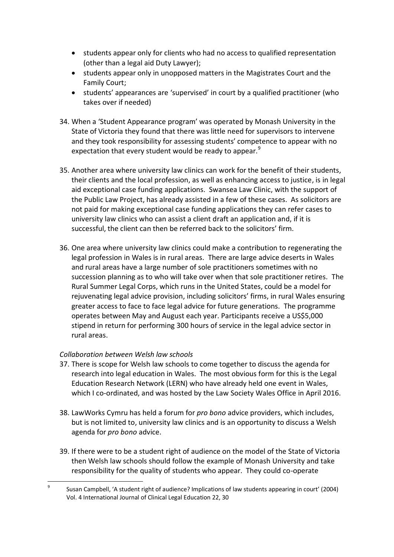- students appear only for clients who had no access to qualified representation (other than a legal aid Duty Lawyer);
- students appear only in unopposed matters in the Magistrates Court and the Family Court;
- students' appearances are 'supervised' in court by a qualified practitioner (who takes over if needed)
- 34. When a 'Student Appearance program' was operated by Monash University in the State of Victoria they found that there was little need for supervisors to intervene and they took responsibility for assessing students' competence to appear with no expectation that every student would be ready to appear.<sup>9</sup>
- 35. Another area where university law clinics can work for the benefit of their students, their clients and the local profession, as well as enhancing access to justice, is in legal aid exceptional case funding applications. Swansea Law Clinic, with the support of the Public Law Project, has already assisted in a few of these cases. As solicitors are not paid for making exceptional case funding applications they can refer cases to university law clinics who can assist a client draft an application and, if it is successful, the client can then be referred back to the solicitors' firm.
- 36. One area where university law clinics could make a contribution to regenerating the legal profession in Wales is in rural areas. There are large advice deserts in Wales and rural areas have a large number of sole practitioners sometimes with no succession planning as to who will take over when that sole practitioner retires. The Rural Summer Legal Corps, which runs in the United States, could be a model for rejuvenating legal advice provision, including solicitors' firms, in rural Wales ensuring greater access to face to face legal advice for future generations. The programme operates between May and August each year. Participants receive a US\$5,000 stipend in return for performing 300 hours of service in the legal advice sector in rural areas.

## *Collaboration between Welsh law schools*

- 37. There is scope for Welsh law schools to come together to discuss the agenda for research into legal education in Wales. The most obvious form for this is the Legal Education Research Network (LERN) who have already held one event in Wales, which I co-ordinated, and was hosted by the Law Society Wales Office in April 2016.
- 38. LawWorks Cymru has held a forum for *pro bono* advice providers, which includes, but is not limited to, university law clinics and is an opportunity to discuss a Welsh agenda for *pro bono* advice.
- 39. If there were to be a student right of audience on the model of the State of Victoria then Welsh law schools should follow the example of Monash University and take responsibility for the quality of students who appear. They could co-operate

 $\overline{a}$ 9 Susan Campbell, 'A student right of audience? Implications of law students appearing in court' (2004) Vol. 4 International Journal of Clinical Legal Education 22, 30